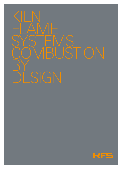# KILN FLAME. SYSTEMS COMBUSTION **BY** DESIGN

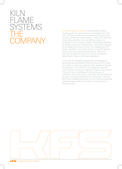### KILN FLAME **SYSTEMS** THE COMPANY

Kiln Flame Systems Ltd (KFS) was established nearly a decade ago by an experienced and enthusiastic team with over 100 years of collective experience and a proven track record in combustion system design. Today, KFS continues to actively pursue the most cost-effective solution to combustion issues through validated technology supported by flexible commercial arrangements. This is demonstrated by the expansion of our in-house CFD modelling and 3D design capability, and its direct impact on the KFS delivery process and future product development. More than ever this provides KFS customers with an outstanding opportunity to improve their plant operations.

In line with the changing requirements and regulations governing our stewardship of the environment, KFS is also committed to improving customer plant operations through the application of combustion technology that operates within specific national and regional emissions requirements. This can include modification of existing burners or installation of new equipment, both enhanced and improved through continuous development of technology. With the aid of new modelling techniques we will meet environmental needs through emissions reductions or introduction of alternative fuels.

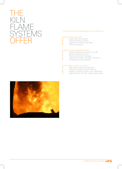

#### "To give commercial advantages to our customers."

- reduce production costs<br>• lower fuel consumption
- 
- lower fuel consumption improve product quality operate with lower cost fuels reduce emissions
- 

#### long-term improved performance

- robust designs and long service life<br>• greater process up time<br>• reduced refractory damage<br>• reduced formation of rings or build-up<br>• increased process stability
- 
- 
- 
- 

- active support when you need it<br>
high quality technical response
- 
- 
- frequent monitoring after start-up<br>• regular on-going contact with operations<br>• rapid provision of high quality spare parts

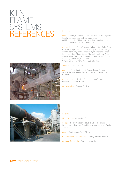## KILN  $\Delta$ SYSTEMS REFERENCES





#### Industries:

lime – Algoma, Carmeuse, Graymont, Hanson, Aggregates, Idwala, Linwood Mining, Mississippi Lime, O-N Minerals, PPC Lime, Rockwell Lime, Southern Lime, Steetley Dolomite, US Lime & Minerals

pulp and paper – AbitibiBowater, Alabama River Pulp, Boise Cascade, Burgo Ardenne, CanFor, Celgar, DomTar, Georgia-Pacific, Iggesund, Inland Paperboard, International Paper, Longview Fibre, Metsä-Botnia, Mondi, M-real, NewPage, Papeteries de Gascogne, Portucel, Potlatch, Pope & Talbot, Rayonier, Red Shield, Rock-Tenn, Smurfit-Stone, Thilmany Paper, Weyerhaeuser

alumina – Alcoa, Windalco, Alcan

cement - Australian Cement, Essroc, Lagan Cement, Považská CementáreĐ, Siam City Cement, West Africa Cement

metal reduction – Fer Min Ore, Huntsman Trioxide, Queensland Nickel, Rotem

petrochemical – Conoco Phillips

#### Regions:

North America – Canada, US

Europe – Belgium, Czech Republic, Estonia, Finland, France, Israel, Portugal, Republic of Ireland, Slovakia, Spain, Sweden, UK

Africa – South Africa, West Africa

Caribbean and South America – Brazil, Jamaica, Suriname

Asia and Australasia – Thailand, Australia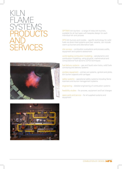### KILN FLAME SYSTEMS PRODUCTS AND SERVICES



OPTIMIX kiln burners – a range of rotary kiln burners, available for all fuel types with bespoke design for each individual kiln and process

DFN kiln burners and nozzles – specific technology for solid fuels via direct-fired systems and their variants, can include warm-up burners and alternative fuels

site surveys – combustion evaluations and process audits, equipment and systems assessment

world leading combustion modelling – aerodynamic and combustion modelling, using physical, mathematical and computational fluid dynamic (CFD) techniques

fuel delivery systems – gas and liquid valve trains, solid fuels conveying and delivery systems

ancillary equipment – primary air systems, ignitors and pilots, kiln burner supports and carriages

safety systems – operational safety systems including flame scanners and burner management systems

engineering – detailed engineering of combustion systems

feasibility studies – for process, equipment and fuel changes

spare parts and service – for all supplied systems and equipment

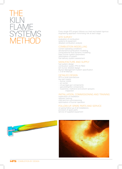

Every single KFS project follows our tried and tested rigorous engineering approach minimising risk at each stage.

#### SITE SURVEY

evaluation of combustion systems & equipment detailed combustion analysis

#### COMBUSTION MODELLING

current operating conditions aerodynamic/combustion modelling computational fluid dynamic modelling basic burner system parameters optimisation of system fuel delivery system assessment

#### MANUFACTURE AND SUPPLY

fuel system design combustion system PFD & P&ID kiln burner detailed design Burner Management System specification I, O & M Manual

#### DETAILED DESIGN

KFS or local manufacture key part supply: – burner nozzle

- air swirler
- oil gun/gas gun components
- gas pilot/ignitor components
- turpentine, methanol and solvent sprayers inspection

### INSTALLATION, COMMISSIONING AND TRAINING

supervision of installation operator training cold and hot commissioning optimisation of burner operation

#### FOLLOW-UP, SPARE PARTS AND SERVICE

on-going follow-up of all installations provision of spare parts service of supplied equipment



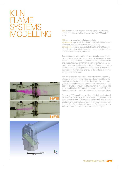## KILN FLAME SYSTEMS KFS provides their customers with the world's most experi-<br>enced modelling team having worked on over 200 applica-<br>tions.

enced modelling team having worked on over 200 applications.

KFS physical modelling techniques include: aerodynamic – provides visual interpretation of flow patterns in kiln hoods, coolers, calciner vessels and ducting combustion – used to demonstrate the efficiency of fuel and air mixing together with its impact on the combustion performance in a wide variety of processes

Combustion and heat transfer are very complex subjects that cannot be easily analysed by conventional mathematics. Prediction of the performance of burners, combustion equipment and associated plant is therefore extremely difficult and is normally carried out by trial-and-error (straight-forward calculations combined with the extrapolation of experience) or modelling (physical and mathematical analysis of the system), the former being the industrial norm.

KFS has a long and successful history of in-house proprietary physical and mathematical modelling which is used for every single project as part of the burner design process. In recent years our traditional techniques have been expanded with the addition of CFD (computational fluid dynamic) modelling. KFS use a combination of commercial codes with specifically customised models for use in rotary kiln and calciner applications.

The use of CFD modelling now allows detailed examination of flame and temperature profiles, their impact on process conditions, and emissions. KFS experience combined with extensive validation with plant data and previous projects ensures a high degree of confidence in the CFD results. This in turn provides KFS customers with assurance of a successful project.



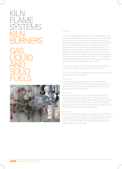KILN FLAME SYSTEMS KILN BURNERS





### OPTIMIX

A simple and elegant design that uses well established and proven changes in fuel/air mixing intensity to provide flame control. The KFS designs avoid the complex mechanical adjustment mechanisms which are essential in the standard burner one-size-fits-all approach and avoids potential for local operations or maintenance to adjust incorrectly. The primary air is split between axial air, for flame length and heat flux control, and swirl air for flame anchoring. Flame stability is provided by a highly efficient aerodynamic swirler to provide excellent flame stability. Each OPTIMIX burner is supplied with an integral pilot including the extremely reliable natural gas or propane Hegwein model.

The simplicity of the OPTIMIX ensures that consistent performance is available over the lifetime of the burner.

The OPTIMIX range is designed for firing all fuel types, either individually or in combination.

#### OPTIMIX G

for a wide range of gaseous fuels. Dual gas discharge locations ensure fine control on gas firing applications and turndown of over 20:1 ensuring the burner can be used in colds starts for refractory curing.

#### OPTIMIX L

for conventional liquid fuels, such as #2 to #6 oils and including waste and re-refined oils. Using the proprietary CM atomiser offers at least 8:1 turndown using either steam or air atomisation. The PJ atomiser is specific for pressure jet applications. For alternative liquid fuels KFS offer the WS Atomiser with air/steam-assist atomisation.

#### OPTIMIX S

for pulverised coal and petcoke, and already a world leader in the pulp and paper industry where KFS have burners firing natural gas, petcoke, methanol, and turpentine simultaneously. The KFS OPTMIX S can also be designed to accommodate solid alternative fuels.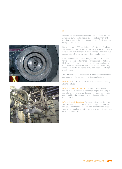



### DFN

Focused particularly in the lime and cement industries, this advanced burner technology provides a straightforward retrofit to upgrade the performance of direct-fired systems or straight-pipe burners.

Developed using CFD modelling, the DFN (direct-fired nozzle) burner has been proven across many projects to provide outstanding improvements in areas such as production, fuel consumption, NOx emissions, and ash ring formation.

Each DFN burner is custom-designed for the kiln both in terms of process performance and mechanical installation. High levels of performance are provided by careful use of bluff-body and swirl techniques to enhance fuel/air mixing combined with far greater flexibility than traditional straightpipe burners.

The DFN burner can be provided in a number of variants to suit specific customer requirements or applications.

DFN nozzle for simple retrofit for solid fuel firing, including alternative fuels

DFN with integrated warm-up burner for all types of gas and liquid fuels. Ignition systems can be provided using a gas pilot or high-energy igniter, and fully-automated ignition can be achieved through use of insertion and withdrawal mechanisms.

DFN with semi-direct firing for enhanced system flexibility and NOx reduction. KFS can provide full process design and equipment specification for conversion to semi-direct firing with a number of system variants available to suit each customer application.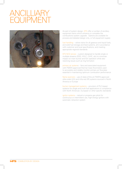# ANCILLIARY EQUIPMENT



As part of system design, KFS offer a number of ancillary equipment items which enhance or complete the combustions system upgrade. Options are available for process and detailed design only, or full equipment supply:

fuel handling – valves trains for all gaseous and liquid fuels, and solid fuel storage and feed systems, all in accordance with customer and local specifications, and meeting appropriate regional standards

KFS NCG lances – custom-designed to handle single or multiple streams (SOG, HVLC, LVHC, etc) to minimise impact on main burner and kiln operation while also resolving issues such as ring formation

primary air systems – fans and associated equipment with FM/EN approved thermal mass flowmeters used to accurately and reliably monitor primary air flowrates essential in maintaining optimum combustion performance

flame scanners – use of state-of-the art FM/EN approved ultra-violet (UV) and infra-red (IR) systems sourced in North America or Europe

burner management systems – provision of PLC-based systems for single and multi-fuel applications in compliance with North American, European or other specific standards

ignitor systems – natural or propane gas pilots for continuous or intermittent use, high-energy ignitors with automatic retraction system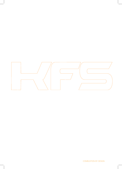

COMBUSTION BY DESIGN